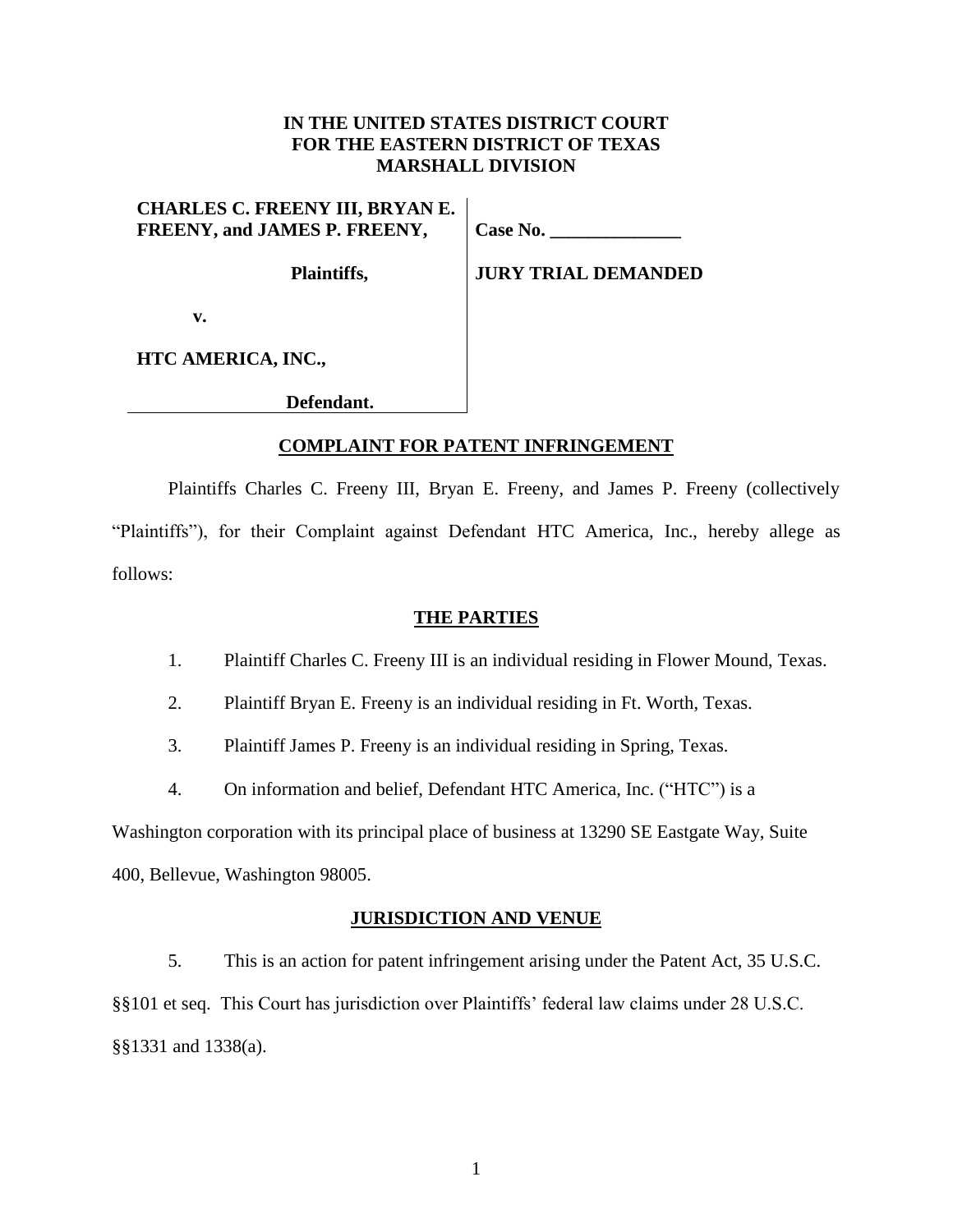# **IN THE UNITED STATES DISTRICT COURT FOR THE EASTERN DISTRICT OF TEXAS MARSHALL DIVISION**

**CHARLES C. FREENY III, BRYAN E. FREENY, and JAMES P. FREENY,**

**Plaintiffs,**

**Case No. \_\_\_\_\_\_\_\_\_\_\_\_\_\_**

**JURY TRIAL DEMANDED**

**v.**

**HTC AMERICA, INC.,**

 **Defendant.**

# **COMPLAINT FOR PATENT INFRINGEMENT**

Plaintiffs Charles C. Freeny III, Bryan E. Freeny, and James P. Freeny (collectively "Plaintiffs"), for their Complaint against Defendant HTC America, Inc., hereby allege as follows:

# **THE PARTIES**

- 1. Plaintiff Charles C. Freeny III is an individual residing in Flower Mound, Texas.
- 2. Plaintiff Bryan E. Freeny is an individual residing in Ft. Worth, Texas.
- 3. Plaintiff James P. Freeny is an individual residing in Spring, Texas.
- 4. On information and belief, Defendant HTC America, Inc. ("HTC") is a

Washington corporation with its principal place of business at 13290 SE Eastgate Way, Suite 400, Bellevue, Washington 98005.

## **JURISDICTION AND VENUE**

5. This is an action for patent infringement arising under the Patent Act, 35 U.S.C. §§101 et seq. This Court has jurisdiction over Plaintiffs' federal law claims under 28 U.S.C.

§§1331 and 1338(a).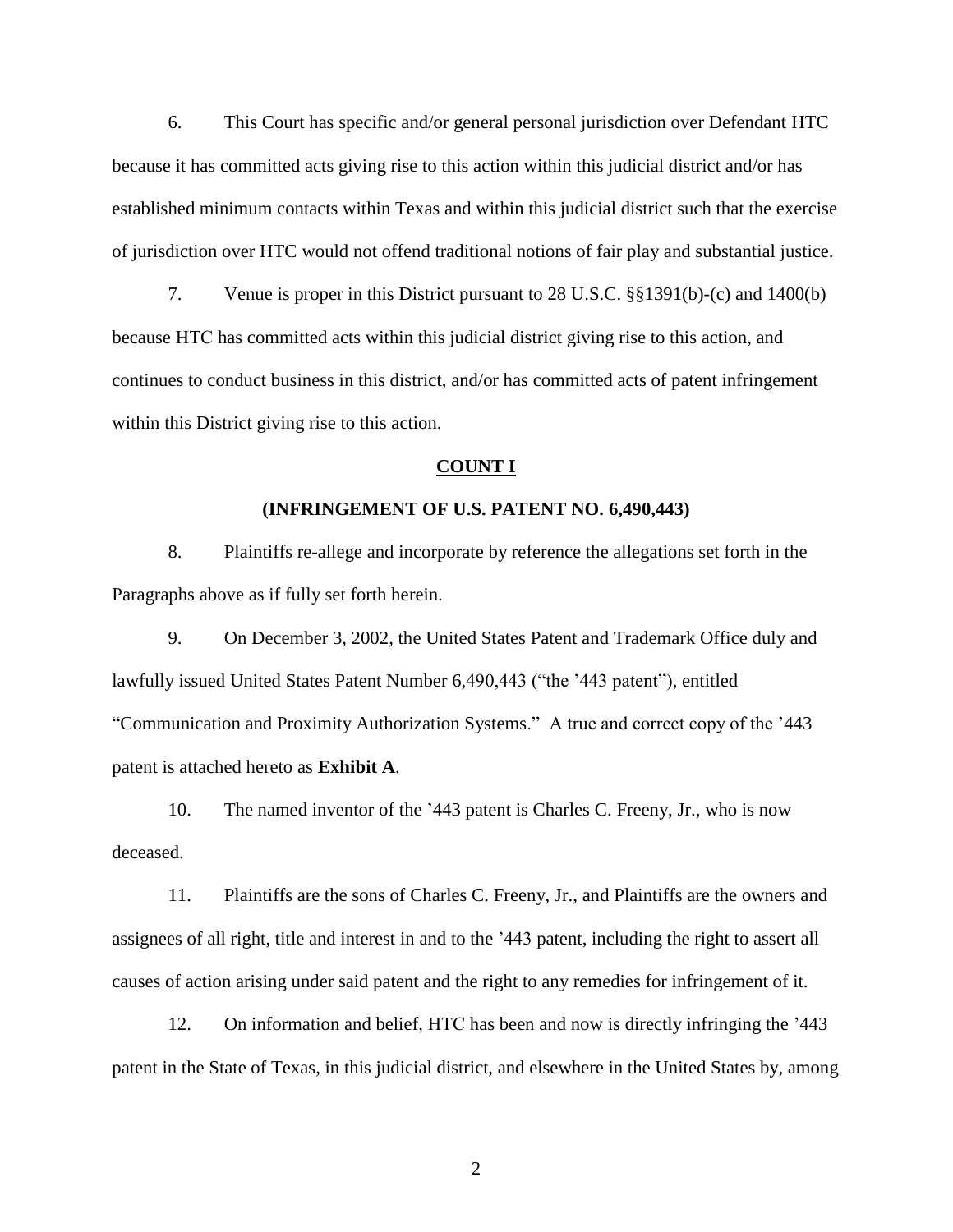6. This Court has specific and/or general personal jurisdiction over Defendant HTC because it has committed acts giving rise to this action within this judicial district and/or has established minimum contacts within Texas and within this judicial district such that the exercise of jurisdiction over HTC would not offend traditional notions of fair play and substantial justice.

7. Venue is proper in this District pursuant to 28 U.S.C. §§1391(b)-(c) and 1400(b) because HTC has committed acts within this judicial district giving rise to this action, and continues to conduct business in this district, and/or has committed acts of patent infringement within this District giving rise to this action.

### **COUNT I**

### **(INFRINGEMENT OF U.S. PATENT NO. 6,490,443)**

8. Plaintiffs re-allege and incorporate by reference the allegations set forth in the Paragraphs above as if fully set forth herein.

9. On December 3, 2002, the United States Patent and Trademark Office duly and lawfully issued United States Patent Number 6,490,443 ("the '443 patent"), entitled "Communication and Proximity Authorization Systems." A true and correct copy of the '443 patent is attached hereto as **Exhibit A**.

10. The named inventor of the '443 patent is Charles C. Freeny, Jr., who is now deceased.

11. Plaintiffs are the sons of Charles C. Freeny, Jr., and Plaintiffs are the owners and assignees of all right, title and interest in and to the '443 patent, including the right to assert all causes of action arising under said patent and the right to any remedies for infringement of it.

12. On information and belief, HTC has been and now is directly infringing the '443 patent in the State of Texas, in this judicial district, and elsewhere in the United States by, among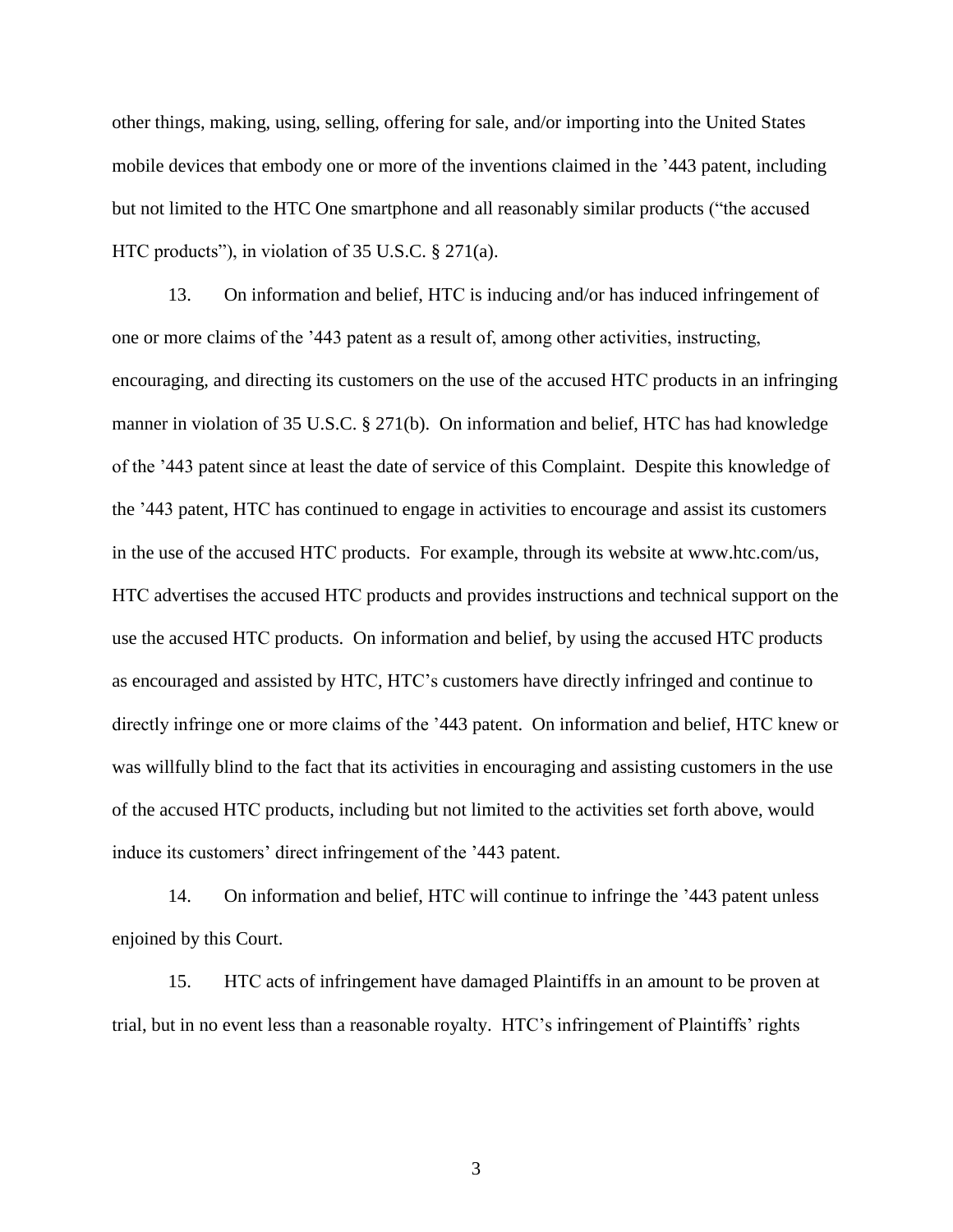other things, making, using, selling, offering for sale, and/or importing into the United States mobile devices that embody one or more of the inventions claimed in the '443 patent, including but not limited to the HTC One smartphone and all reasonably similar products ("the accused HTC products"), in violation of 35 U.S.C. § 271(a).

13. On information and belief, HTC is inducing and/or has induced infringement of one or more claims of the '443 patent as a result of, among other activities, instructing, encouraging, and directing its customers on the use of the accused HTC products in an infringing manner in violation of 35 U.S.C. § 271(b). On information and belief, HTC has had knowledge of the '443 patent since at least the date of service of this Complaint. Despite this knowledge of the '443 patent, HTC has continued to engage in activities to encourage and assist its customers in the use of the accused HTC products. For example, through its website at www.htc.com/us, HTC advertises the accused HTC products and provides instructions and technical support on the use the accused HTC products. On information and belief, by using the accused HTC products as encouraged and assisted by HTC, HTC's customers have directly infringed and continue to directly infringe one or more claims of the '443 patent. On information and belief, HTC knew or was willfully blind to the fact that its activities in encouraging and assisting customers in the use of the accused HTC products, including but not limited to the activities set forth above, would induce its customers' direct infringement of the '443 patent.

14. On information and belief, HTC will continue to infringe the '443 patent unless enjoined by this Court.

15. HTC acts of infringement have damaged Plaintiffs in an amount to be proven at trial, but in no event less than a reasonable royalty. HTC's infringement of Plaintiffs' rights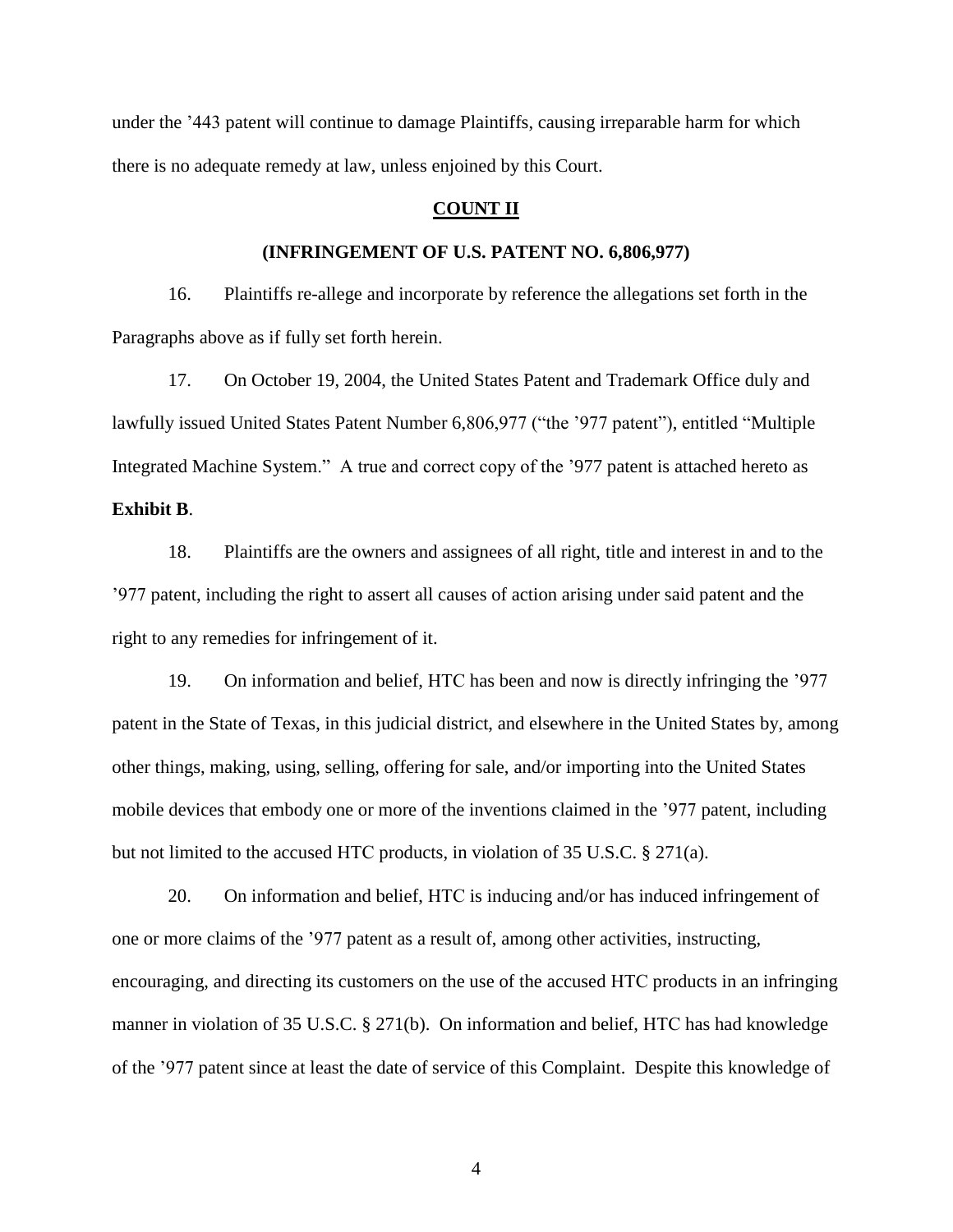under the '443 patent will continue to damage Plaintiffs, causing irreparable harm for which there is no adequate remedy at law, unless enjoined by this Court.

## **COUNT II**

### **(INFRINGEMENT OF U.S. PATENT NO. 6,806,977)**

16. Plaintiffs re-allege and incorporate by reference the allegations set forth in the Paragraphs above as if fully set forth herein.

17. On October 19, 2004, the United States Patent and Trademark Office duly and lawfully issued United States Patent Number 6,806,977 ("the '977 patent"), entitled "Multiple Integrated Machine System." A true and correct copy of the '977 patent is attached hereto as

# **Exhibit B**.

18. Plaintiffs are the owners and assignees of all right, title and interest in and to the '977 patent, including the right to assert all causes of action arising under said patent and the right to any remedies for infringement of it.

19. On information and belief, HTC has been and now is directly infringing the '977 patent in the State of Texas, in this judicial district, and elsewhere in the United States by, among other things, making, using, selling, offering for sale, and/or importing into the United States mobile devices that embody one or more of the inventions claimed in the '977 patent, including but not limited to the accused HTC products, in violation of 35 U.S.C. § 271(a).

20. On information and belief, HTC is inducing and/or has induced infringement of one or more claims of the '977 patent as a result of, among other activities, instructing, encouraging, and directing its customers on the use of the accused HTC products in an infringing manner in violation of 35 U.S.C. § 271(b). On information and belief, HTC has had knowledge of the '977 patent since at least the date of service of this Complaint. Despite this knowledge of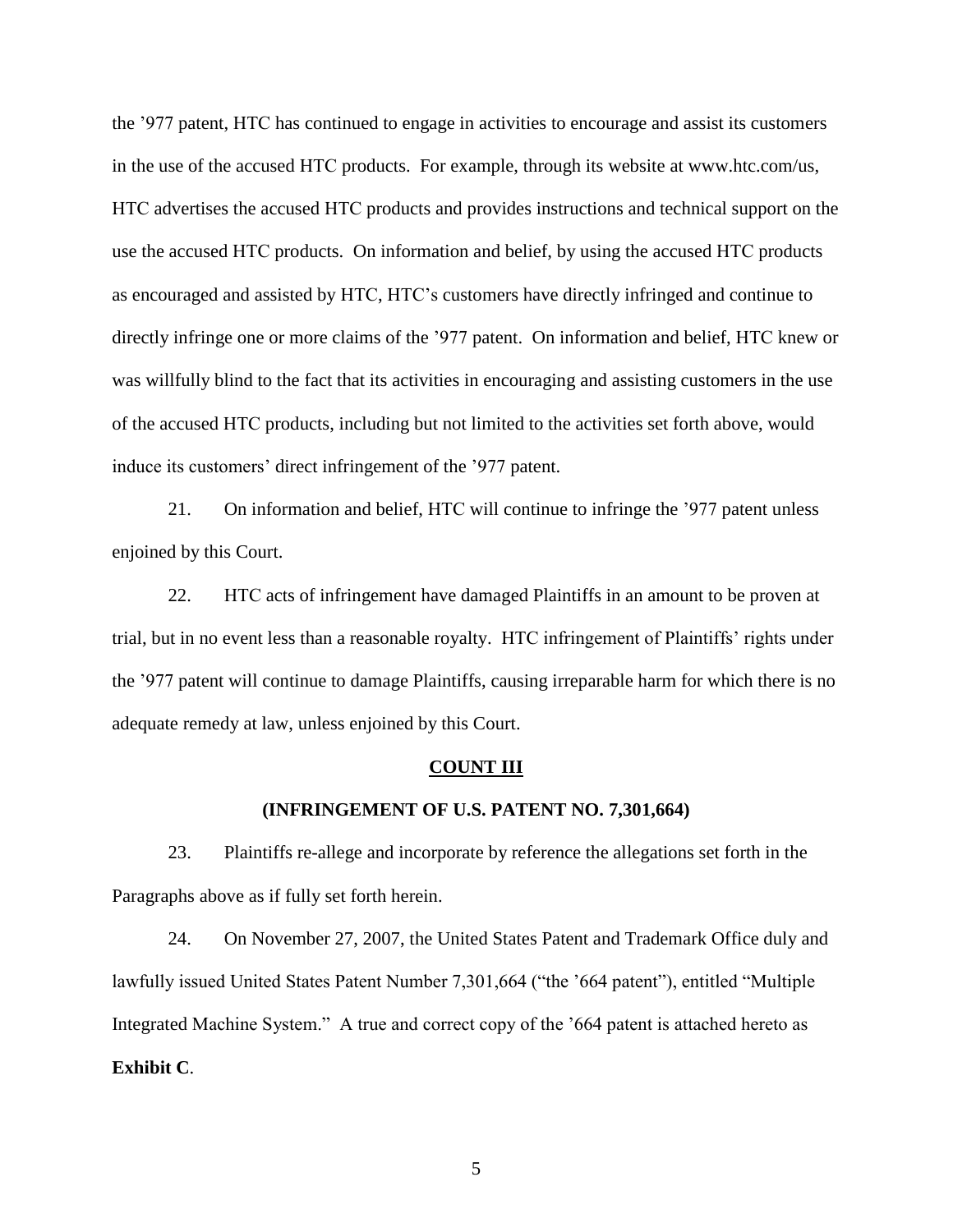the '977 patent, HTC has continued to engage in activities to encourage and assist its customers in the use of the accused HTC products. For example, through its website at www.htc.com/us, HTC advertises the accused HTC products and provides instructions and technical support on the use the accused HTC products. On information and belief, by using the accused HTC products as encouraged and assisted by HTC, HTC's customers have directly infringed and continue to directly infringe one or more claims of the '977 patent. On information and belief, HTC knew or was willfully blind to the fact that its activities in encouraging and assisting customers in the use of the accused HTC products, including but not limited to the activities set forth above, would induce its customers' direct infringement of the '977 patent.

21. On information and belief, HTC will continue to infringe the '977 patent unless enjoined by this Court.

22. HTC acts of infringement have damaged Plaintiffs in an amount to be proven at trial, but in no event less than a reasonable royalty. HTC infringement of Plaintiffs' rights under the '977 patent will continue to damage Plaintiffs, causing irreparable harm for which there is no adequate remedy at law, unless enjoined by this Court.

#### **COUNT III**

### **(INFRINGEMENT OF U.S. PATENT NO. 7,301,664)**

23. Plaintiffs re-allege and incorporate by reference the allegations set forth in the Paragraphs above as if fully set forth herein.

24. On November 27, 2007, the United States Patent and Trademark Office duly and lawfully issued United States Patent Number 7,301,664 ("the '664 patent"), entitled "Multiple Integrated Machine System." A true and correct copy of the '664 patent is attached hereto as **Exhibit C**.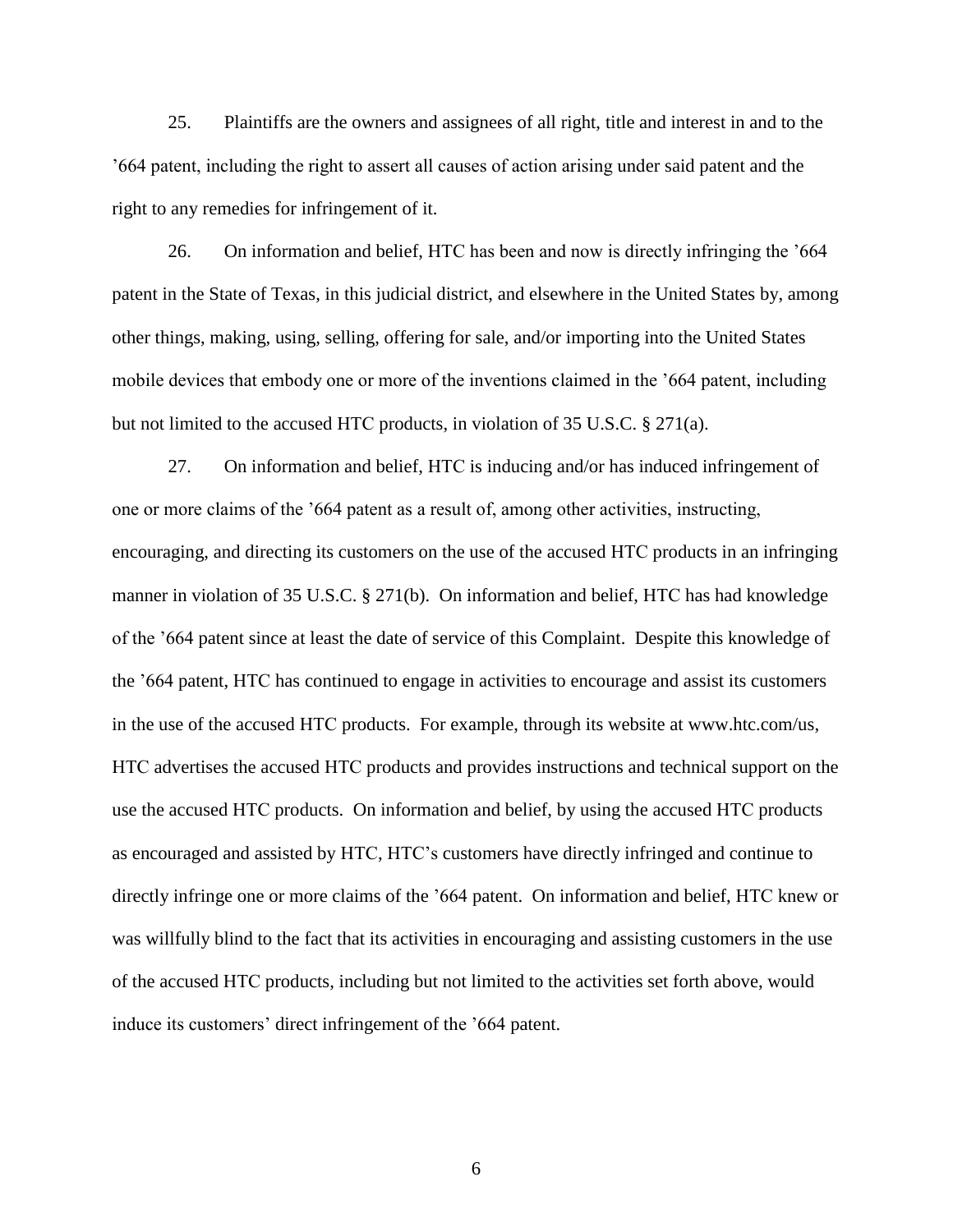25. Plaintiffs are the owners and assignees of all right, title and interest in and to the '664 patent, including the right to assert all causes of action arising under said patent and the right to any remedies for infringement of it.

26. On information and belief, HTC has been and now is directly infringing the '664 patent in the State of Texas, in this judicial district, and elsewhere in the United States by, among other things, making, using, selling, offering for sale, and/or importing into the United States mobile devices that embody one or more of the inventions claimed in the '664 patent, including but not limited to the accused HTC products, in violation of 35 U.S.C. § 271(a).

27. On information and belief, HTC is inducing and/or has induced infringement of one or more claims of the '664 patent as a result of, among other activities, instructing, encouraging, and directing its customers on the use of the accused HTC products in an infringing manner in violation of 35 U.S.C. § 271(b). On information and belief, HTC has had knowledge of the '664 patent since at least the date of service of this Complaint. Despite this knowledge of the '664 patent, HTC has continued to engage in activities to encourage and assist its customers in the use of the accused HTC products. For example, through its website at www.htc.com/us, HTC advertises the accused HTC products and provides instructions and technical support on the use the accused HTC products. On information and belief, by using the accused HTC products as encouraged and assisted by HTC, HTC's customers have directly infringed and continue to directly infringe one or more claims of the '664 patent. On information and belief, HTC knew or was willfully blind to the fact that its activities in encouraging and assisting customers in the use of the accused HTC products, including but not limited to the activities set forth above, would induce its customers' direct infringement of the '664 patent.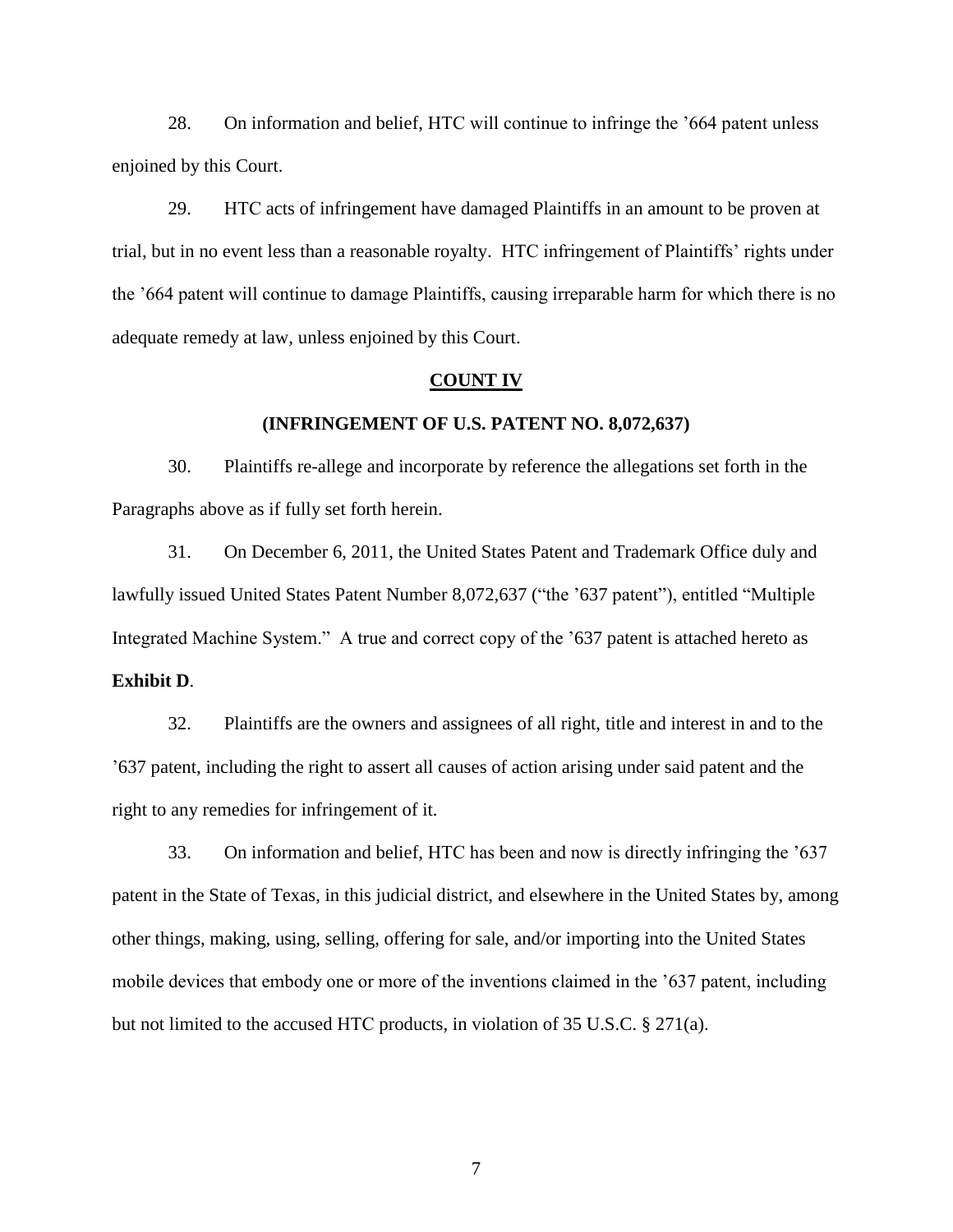28. On information and belief, HTC will continue to infringe the '664 patent unless enjoined by this Court.

29. HTC acts of infringement have damaged Plaintiffs in an amount to be proven at trial, but in no event less than a reasonable royalty. HTC infringement of Plaintiffs' rights under the '664 patent will continue to damage Plaintiffs, causing irreparable harm for which there is no adequate remedy at law, unless enjoined by this Court.

### **COUNT IV**

### **(INFRINGEMENT OF U.S. PATENT NO. 8,072,637)**

30. Plaintiffs re-allege and incorporate by reference the allegations set forth in the Paragraphs above as if fully set forth herein.

31. On December 6, 2011, the United States Patent and Trademark Office duly and lawfully issued United States Patent Number 8,072,637 ("the '637 patent"), entitled "Multiple Integrated Machine System." A true and correct copy of the '637 patent is attached hereto as **Exhibit D**.

32. Plaintiffs are the owners and assignees of all right, title and interest in and to the '637 patent, including the right to assert all causes of action arising under said patent and the right to any remedies for infringement of it.

33. On information and belief, HTC has been and now is directly infringing the '637 patent in the State of Texas, in this judicial district, and elsewhere in the United States by, among other things, making, using, selling, offering for sale, and/or importing into the United States mobile devices that embody one or more of the inventions claimed in the '637 patent, including but not limited to the accused HTC products, in violation of 35 U.S.C. § 271(a).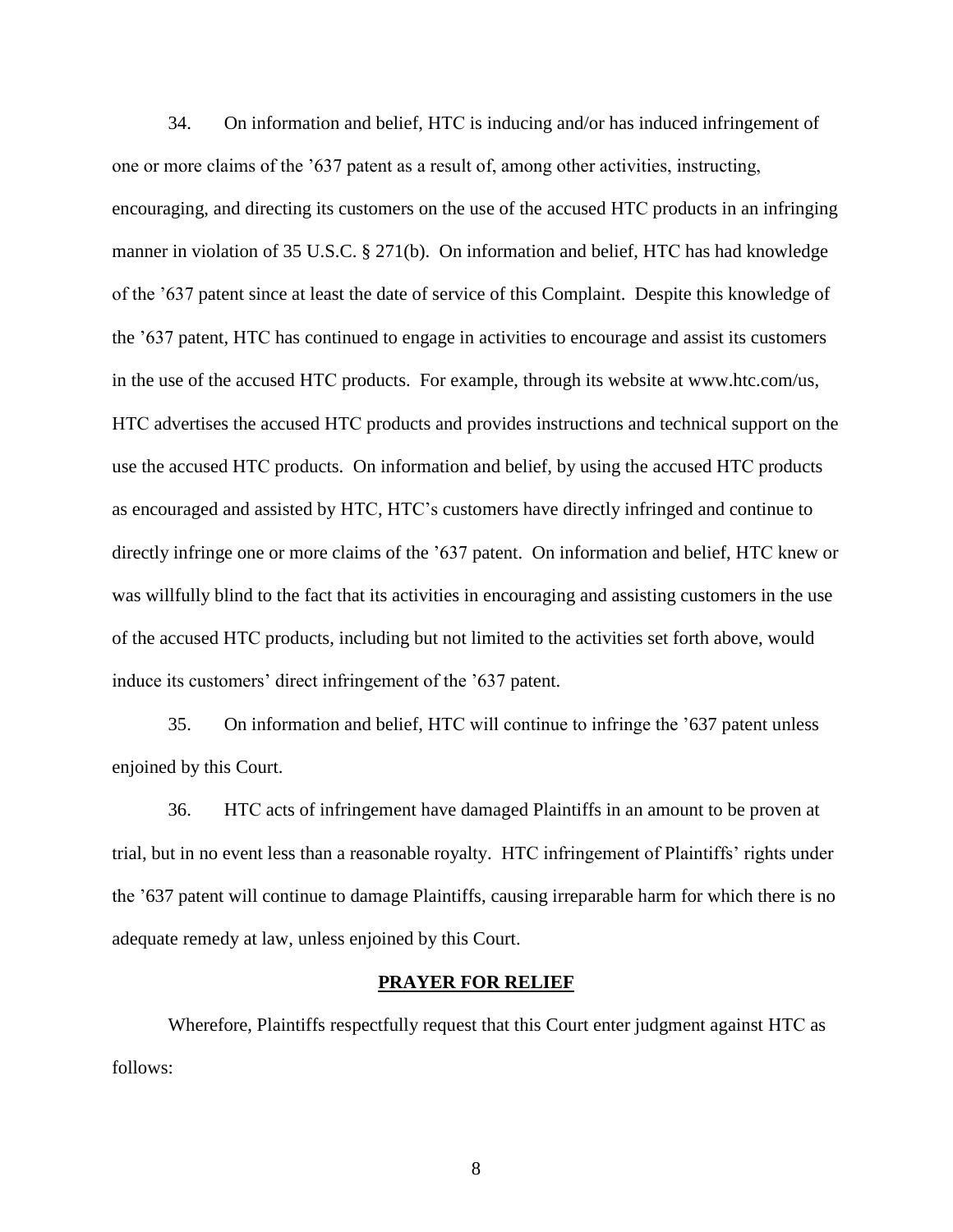34. On information and belief, HTC is inducing and/or has induced infringement of one or more claims of the '637 patent as a result of, among other activities, instructing, encouraging, and directing its customers on the use of the accused HTC products in an infringing manner in violation of 35 U.S.C. § 271(b). On information and belief, HTC has had knowledge of the '637 patent since at least the date of service of this Complaint. Despite this knowledge of the '637 patent, HTC has continued to engage in activities to encourage and assist its customers in the use of the accused HTC products. For example, through its website at www.htc.com/us, HTC advertises the accused HTC products and provides instructions and technical support on the use the accused HTC products. On information and belief, by using the accused HTC products as encouraged and assisted by HTC, HTC's customers have directly infringed and continue to directly infringe one or more claims of the '637 patent. On information and belief, HTC knew or was willfully blind to the fact that its activities in encouraging and assisting customers in the use of the accused HTC products, including but not limited to the activities set forth above, would induce its customers' direct infringement of the '637 patent.

35. On information and belief, HTC will continue to infringe the '637 patent unless enjoined by this Court.

36. HTC acts of infringement have damaged Plaintiffs in an amount to be proven at trial, but in no event less than a reasonable royalty. HTC infringement of Plaintiffs' rights under the '637 patent will continue to damage Plaintiffs, causing irreparable harm for which there is no adequate remedy at law, unless enjoined by this Court.

### **PRAYER FOR RELIEF**

Wherefore, Plaintiffs respectfully request that this Court enter judgment against HTC as follows: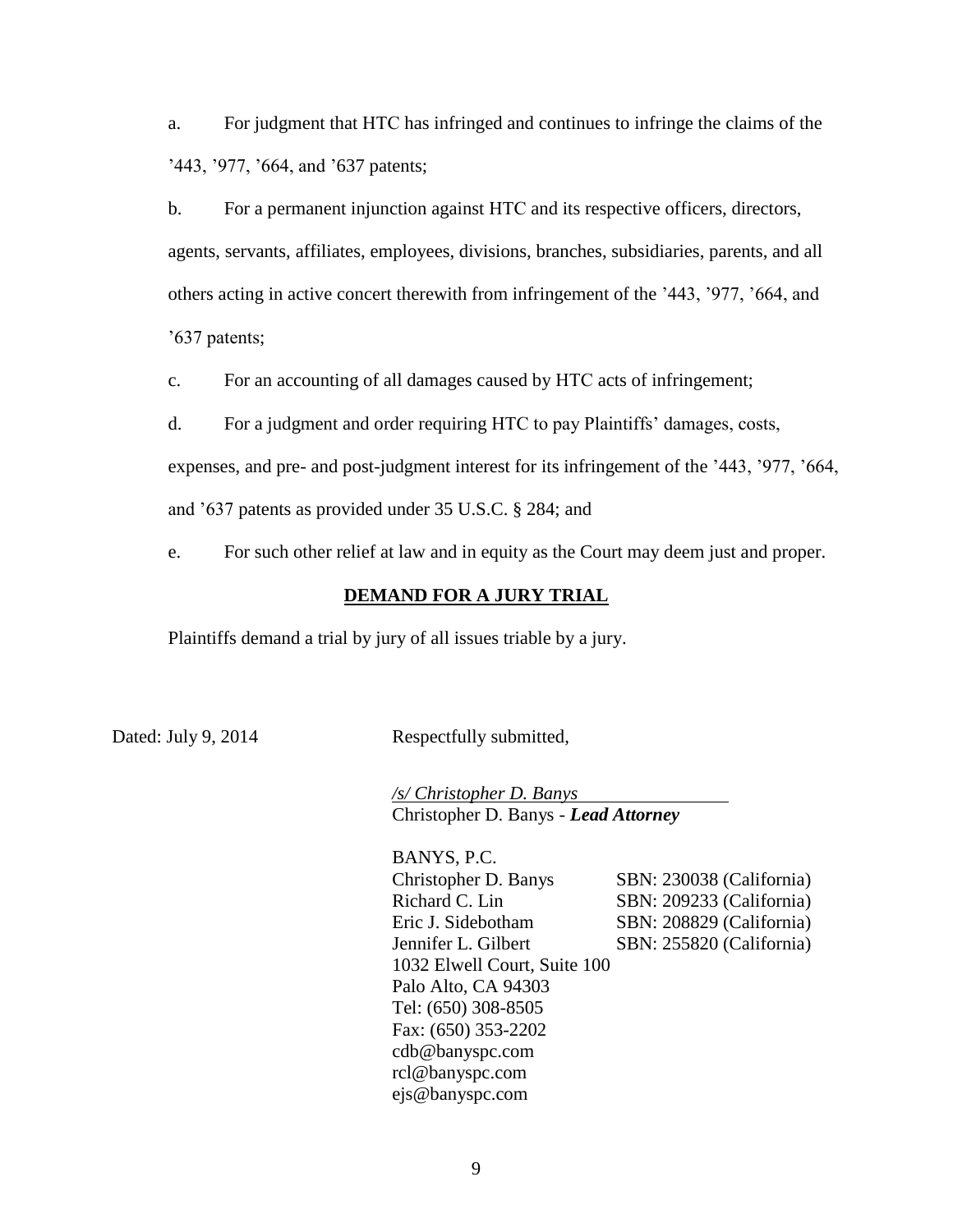a. For judgment that HTC has infringed and continues to infringe the claims of the '443, '977, '664, and '637 patents;

b. For a permanent injunction against HTC and its respective officers, directors,

agents, servants, affiliates, employees, divisions, branches, subsidiaries, parents, and all others acting in active concert therewith from infringement of the '443, '977, '664, and '637 patents;

c. For an accounting of all damages caused by HTC acts of infringement;

d. For a judgment and order requiring HTC to pay Plaintiffs' damages, costs,

expenses, and pre- and post-judgment interest for its infringement of the '443, '977, '664,

and '637 patents as provided under 35 U.S.C. § 284; and

e. For such other relief at law and in equity as the Court may deem just and proper.

## **DEMAND FOR A JURY TRIAL**

Plaintiffs demand a trial by jury of all issues triable by a jury.

Dated: July 9, 2014 Respectfully submitted,

*/s/ Christopher D. Banys* Christopher D. Banys - *Lead Attorney*

BANYS, P.C. Christopher D. Banys SBN: 230038 (California) Richard C. Lin SBN: 209233 (California) Eric J. Sidebotham SBN: 208829 (California) Jennifer L. Gilbert SBN: 255820 (California) 1032 Elwell Court, Suite 100 Palo Alto, CA 94303 Tel: (650) 308-8505 Fax: (650) 353-2202 cdb@banyspc.com rcl@banyspc.com ejs@banyspc.com